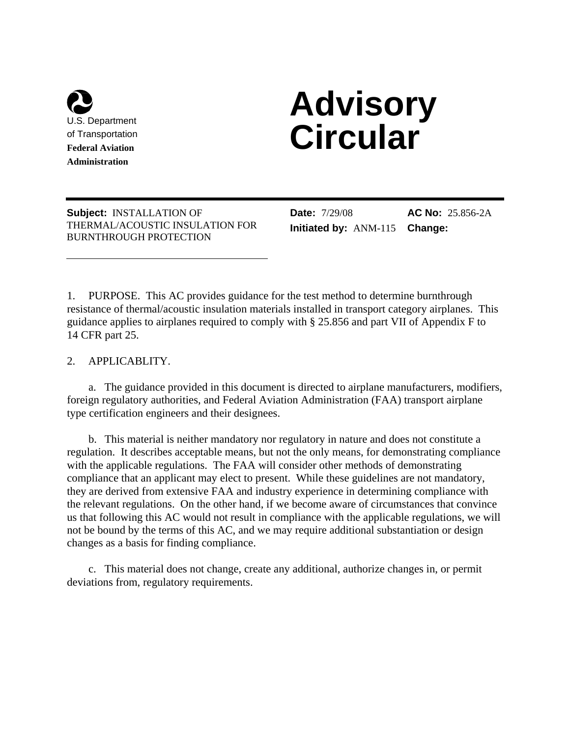

l

# **Advisory Circular**

**Subject:** INSTALLATION OF THERMAL/ACOUSTIC INSULATION FOR BURNTHROUGH PROTECTION

**Date:** 7/29/08 **Initiated by:** ANM-115

**AC No:** 25.856-2A **Change:** 

1. PURPOSE. This AC provides guidance for the test method to determine burnthrough resistance of thermal/acoustic insulation materials installed in transport category airplanes. This guidance applies to airplanes required to comply with § 25.856 and part VII of Appendix F to 14 CFR part 25.

2. APPLICABLITY.

 a. The guidance provided in this document is directed to airplane manufacturers, modifiers, foreign regulatory authorities, and Federal Aviation Administration (FAA) transport airplane type certification engineers and their designees.

 b. This material is neither mandatory nor regulatory in nature and does not constitute a regulation. It describes acceptable means, but not the only means, for demonstrating compliance with the applicable regulations. The FAA will consider other methods of demonstrating compliance that an applicant may elect to present. While these guidelines are not mandatory, they are derived from extensive FAA and industry experience in determining compliance with the relevant regulations. On the other hand, if we become aware of circumstances that convince us that following this AC would not result in compliance with the applicable regulations, we will not be bound by the terms of this AC, and we may require additional substantiation or design changes as a basis for finding compliance.

 c. This material does not change, create any additional, authorize changes in, or permit deviations from, regulatory requirements.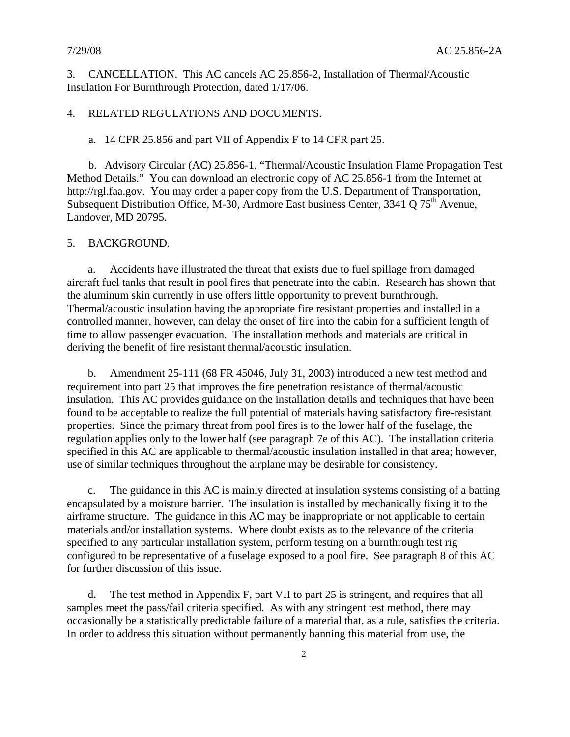3. CANCELLATION. This AC cancels AC 25.856-2, Installation of Thermal/Acoustic Insulation For Burnthrough Protection, dated 1/17/06.

# 4. RELATED REGULATIONS AND DOCUMENTS.

a. 14 CFR 25.856 and part VII of Appendix F to 14 CFR part 25.

 b. Advisory Circular (AC) 25.856-1, "Thermal/Acoustic Insulation Flame Propagation Test Method Details." You can download an electronic copy of AC 25.856-1 from the Internet at http://rgl.faa.gov. You may order a paper copy from the U.S. Department of Transportation, Subsequent Distribution Office, M-30, Ardmore East business Center, 3341 Q 75<sup>th</sup> Avenue, Landover, MD 20795.

#### 5. BACKGROUND.

a. Accidents have illustrated the threat that exists due to fuel spillage from damaged aircraft fuel tanks that result in pool fires that penetrate into the cabin. Research has shown that the aluminum skin currently in use offers little opportunity to prevent burnthrough. Thermal/acoustic insulation having the appropriate fire resistant properties and installed in a controlled manner, however, can delay the onset of fire into the cabin for a sufficient length of time to allow passenger evacuation. The installation methods and materials are critical in deriving the benefit of fire resistant thermal/acoustic insulation.

b. Amendment 25-111 (68 FR 45046, July 31, 2003) introduced a new test method and requirement into part 25 that improves the fire penetration resistance of thermal/acoustic insulation. This AC provides guidance on the installation details and techniques that have been found to be acceptable to realize the full potential of materials having satisfactory fire-resistant properties. Since the primary threat from pool fires is to the lower half of the fuselage, the regulation applies only to the lower half (see paragraph 7e of this AC). The installation criteria specified in this AC are applicable to thermal/acoustic insulation installed in that area; however, use of similar techniques throughout the airplane may be desirable for consistency.

c. The guidance in this AC is mainly directed at insulation systems consisting of a batting encapsulated by a moisture barrier. The insulation is installed by mechanically fixing it to the airframe structure. The guidance in this AC may be inappropriate or not applicable to certain materials and/or installation systems. Where doubt exists as to the relevance of the criteria specified to any particular installation system, perform testing on a burnthrough test rig configured to be representative of a fuselage exposed to a pool fire. See paragraph 8 of this AC for further discussion of this issue.

d. The test method in Appendix F, part VII to part 25 is stringent, and requires that all samples meet the pass/fail criteria specified. As with any stringent test method, there may occasionally be a statistically predictable failure of a material that, as a rule, satisfies the criteria. In order to address this situation without permanently banning this material from use, the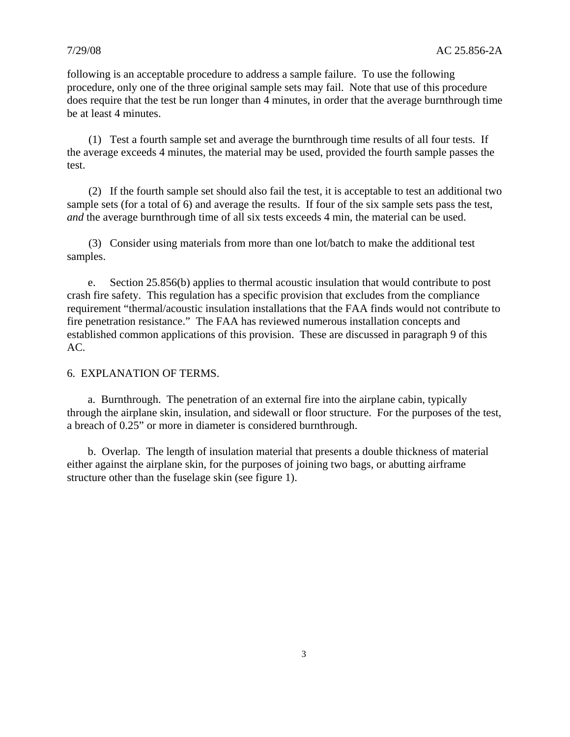following is an acceptable procedure to address a sample failure. To use the following procedure, only one of the three original sample sets may fail. Note that use of this procedure does require that the test be run longer than 4 minutes, in order that the average burnthrough time be at least 4 minutes.

 (1) Test a fourth sample set and average the burnthrough time results of all four tests. If the average exceeds 4 minutes, the material may be used, provided the fourth sample passes the test.

 (2) If the fourth sample set should also fail the test, it is acceptable to test an additional two sample sets (for a total of 6) and average the results. If four of the six sample sets pass the test, *and* the average burnthrough time of all six tests exceeds 4 min, the material can be used.

 (3) Consider using materials from more than one lot/batch to make the additional test samples.

e. Section 25.856(b) applies to thermal acoustic insulation that would contribute to post crash fire safety. This regulation has a specific provision that excludes from the compliance requirement "thermal/acoustic insulation installations that the FAA finds would not contribute to fire penetration resistance." The FAA has reviewed numerous installation concepts and established common applications of this provision. These are discussed in paragraph 9 of this AC.

#### 6. EXPLANATION OF TERMS.

 a. Burnthrough. The penetration of an external fire into the airplane cabin, typically through the airplane skin, insulation, and sidewall or floor structure. For the purposes of the test, a breach of 0.25" or more in diameter is considered burnthrough.

 b. Overlap. The length of insulation material that presents a double thickness of material either against the airplane skin, for the purposes of joining two bags, or abutting airframe structure other than the fuselage skin (see figure 1).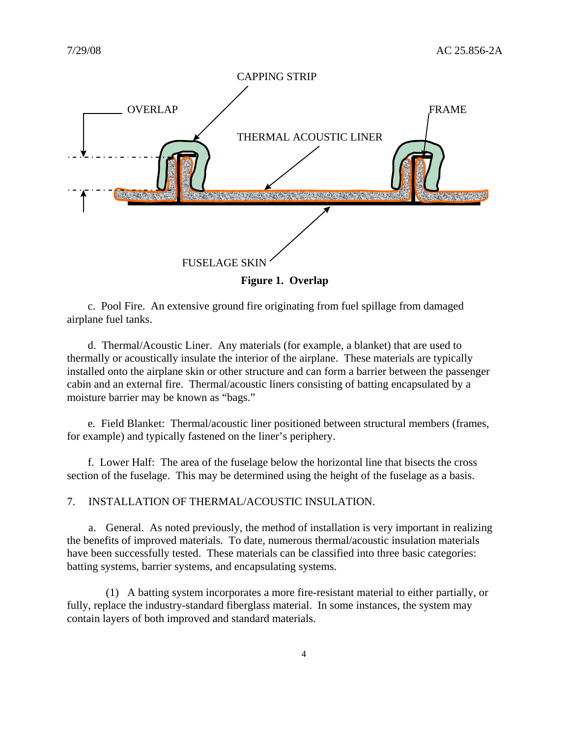

 c. Pool Fire.An extensive ground fire originating from fuel spillage from damaged airplane fuel tanks.

 d. Thermal/Acoustic Liner. Any materials (for example, a blanket) that are used to thermally or acoustically insulate the interior of the airplane. These materials are typically installed onto the airplane skin or other structure and can form a barrier between the passenger cabin and an external fire. Thermal/acoustic liners consisting of batting encapsulated by a moisture barrier may be known as "bags."

 e. Field Blanket: Thermal/acoustic liner positioned between structural members (frames, for example) and typically fastened on the liner's periphery.

 f. Lower Half: The area of the fuselage below the horizontal line that bisects the cross section of the fuselage. This may be determined using the height of the fuselage as a basis.

7. INSTALLATION OF THERMAL/ACOUSTIC INSULATION.

 a. General. As noted previously, the method of installation is very important in realizing the benefits of improved materials. To date, numerous thermal/acoustic insulation materials have been successfully tested. These materials can be classified into three basic categories: batting systems, barrier systems, and encapsulating systems.

 (1) A batting system incorporates a more fire-resistant material to either partially, or fully, replace the industry-standard fiberglass material. In some instances, the system may contain layers of both improved and standard materials.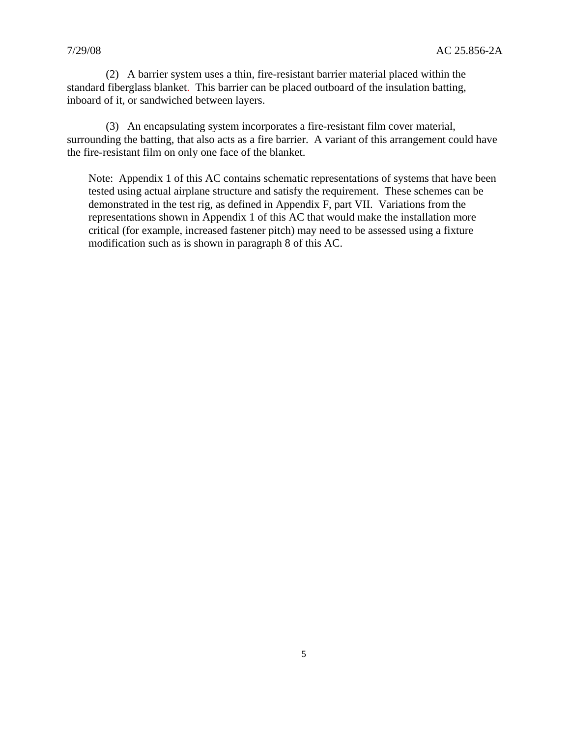(2) A barrier system uses a thin, fire-resistant barrier material placed within the standard fiberglass blanket. This barrier can be placed outboard of the insulation batting, inboard of it, or sandwiched between layers.

 (3) An encapsulating system incorporates a fire-resistant film cover material, surrounding the batting, that also acts as a fire barrier. A variant of this arrangement could have the fire-resistant film on only one face of the blanket.

Note: Appendix 1 of this AC contains schematic representations of systems that have been tested using actual airplane structure and satisfy the requirement. These schemes can be demonstrated in the test rig, as defined in Appendix F, part VII. Variations from the representations shown in Appendix 1 of this AC that would make the installation more critical (for example, increased fastener pitch) may need to be assessed using a fixture modification such as is shown in paragraph 8 of this AC.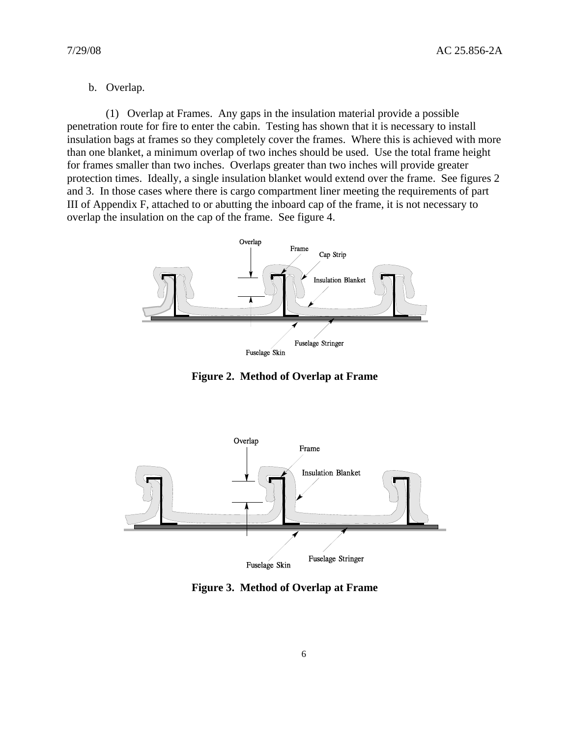# b. Overlap.

 (1) Overlap at Frames. Any gaps in the insulation material provide a possible penetration route for fire to enter the cabin. Testing has shown that it is necessary to install insulation bags at frames so they completely cover the frames. Where this is achieved with more than one blanket, a minimum overlap of two inches should be used. Use the total frame height for frames smaller than two inches. Overlaps greater than two inches will provide greater protection times. Ideally, a single insulation blanket would extend over the frame. See figures 2 and 3. In those cases where there is cargo compartment liner meeting the requirements of part III of Appendix F, attached to or abutting the inboard cap of the frame, it is not necessary to overlap the insulation on the cap of the frame. See figure 4.



**Figure 2. Method of Overlap at Frame** 



**Figure 3. Method of Overlap at Frame**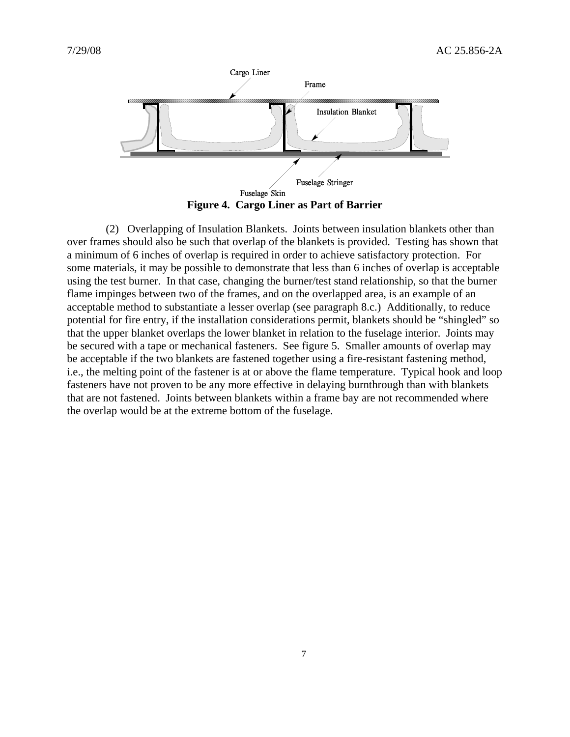

**Figure 4. Cargo Liner as Part of Barrier** 

 (2) Overlapping of Insulation Blankets. Joints between insulation blankets other than over frames should also be such that overlap of the blankets is provided. Testing has shown that a minimum of 6 inches of overlap is required in order to achieve satisfactory protection. For some materials, it may be possible to demonstrate that less than 6 inches of overlap is acceptable using the test burner. In that case, changing the burner/test stand relationship, so that the burner flame impinges between two of the frames, and on the overlapped area, is an example of an acceptable method to substantiate a lesser overlap (see paragraph 8.c.) Additionally, to reduce potential for fire entry, if the installation considerations permit, blankets should be "shingled" so that the upper blanket overlaps the lower blanket in relation to the fuselage interior. Joints may be secured with a tape or mechanical fasteners. See figure 5. Smaller amounts of overlap may be acceptable if the two blankets are fastened together using a fire-resistant fastening method, i.e., the melting point of the fastener is at or above the flame temperature. Typical hook and loop fasteners have not proven to be any more effective in delaying burnthrough than with blankets that are not fastened. Joints between blankets within a frame bay are not recommended where the overlap would be at the extreme bottom of the fuselage.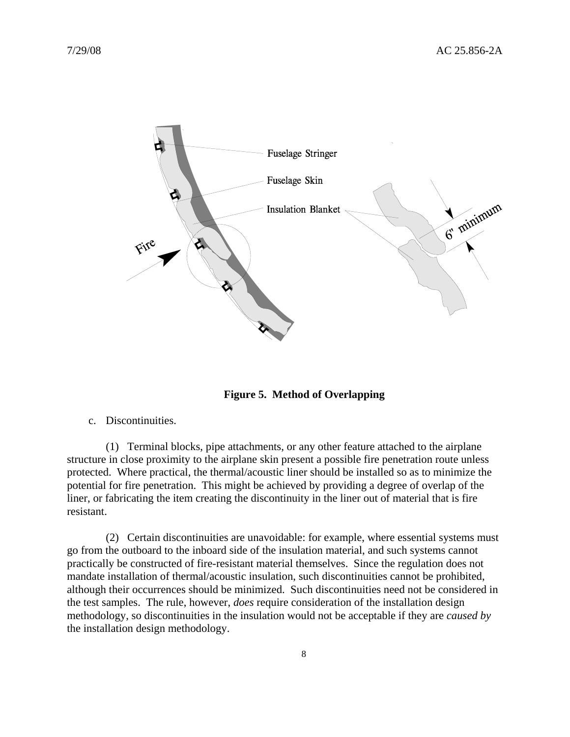

**Figure 5. Method of Overlapping**

c. Discontinuities.

 (1) Terminal blocks, pipe attachments, or any other feature attached to the airplane structure in close proximity to the airplane skin present a possible fire penetration route unless protected. Where practical, the thermal/acoustic liner should be installed so as to minimize the potential for fire penetration. This might be achieved by providing a degree of overlap of the liner, or fabricating the item creating the discontinuity in the liner out of material that is fire resistant.

 (2) Certain discontinuities are unavoidable: for example, where essential systems must go from the outboard to the inboard side of the insulation material, and such systems cannot practically be constructed of fire-resistant material themselves. Since the regulation does not mandate installation of thermal/acoustic insulation, such discontinuities cannot be prohibited, although their occurrences should be minimized. Such discontinuities need not be considered in the test samples. The rule, however, *does* require consideration of the installation design methodology, so discontinuities in the insulation would not be acceptable if they are *caused by* the installation design methodology.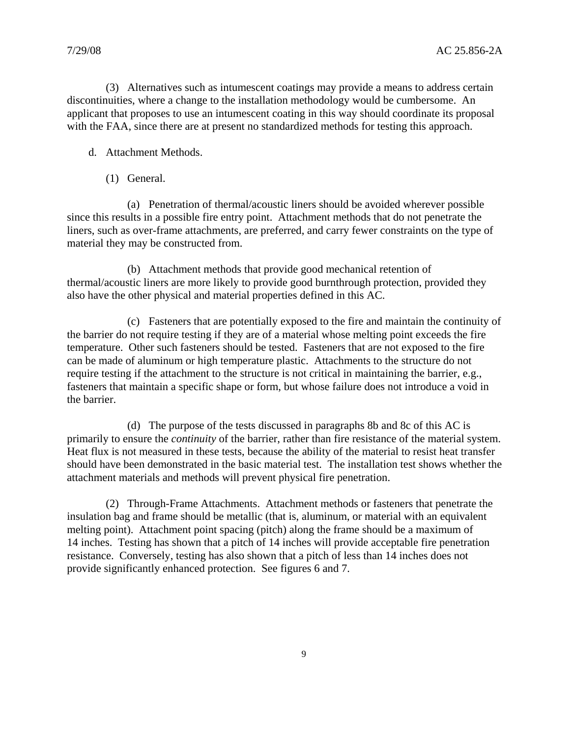(3) Alternatives such as intumescent coatings may provide a means to address certain discontinuities, where a change to the installation methodology would be cumbersome. An applicant that proposes to use an intumescent coating in this way should coordinate its proposal with the FAA, since there are at present no standardized methods for testing this approach.

- d. Attachment Methods.
	- (1) General.

 (a) Penetration of thermal/acoustic liners should be avoided wherever possible since this results in a possible fire entry point. Attachment methods that do not penetrate the liners, such as over-frame attachments, are preferred, and carry fewer constraints on the type of material they may be constructed from.

 (b) Attachment methods that provide good mechanical retention of thermal/acoustic liners are more likely to provide good burnthrough protection, provided they also have the other physical and material properties defined in this AC.

 (c) Fasteners that are potentially exposed to the fire and maintain the continuity of the barrier do not require testing if they are of a material whose melting point exceeds the fire temperature. Other such fasteners should be tested. Fasteners that are not exposed to the fire can be made of aluminum or high temperature plastic. Attachments to the structure do not require testing if the attachment to the structure is not critical in maintaining the barrier, e.g., fasteners that maintain a specific shape or form, but whose failure does not introduce a void in the barrier.

 (d) The purpose of the tests discussed in paragraphs 8b and 8c of this AC is primarily to ensure the *continuity* of the barrier, rather than fire resistance of the material system. Heat flux is not measured in these tests, because the ability of the material to resist heat transfer should have been demonstrated in the basic material test. The installation test shows whether the attachment materials and methods will prevent physical fire penetration.

 (2) Through-Frame Attachments. Attachment methods or fasteners that penetrate the insulation bag and frame should be metallic (that is, aluminum, or material with an equivalent melting point). Attachment point spacing (pitch) along the frame should be a maximum of 14 inches. Testing has shown that a pitch of 14 inches will provide acceptable fire penetration resistance. Conversely, testing has also shown that a pitch of less than 14 inches does not provide significantly enhanced protection. See figures 6 and 7.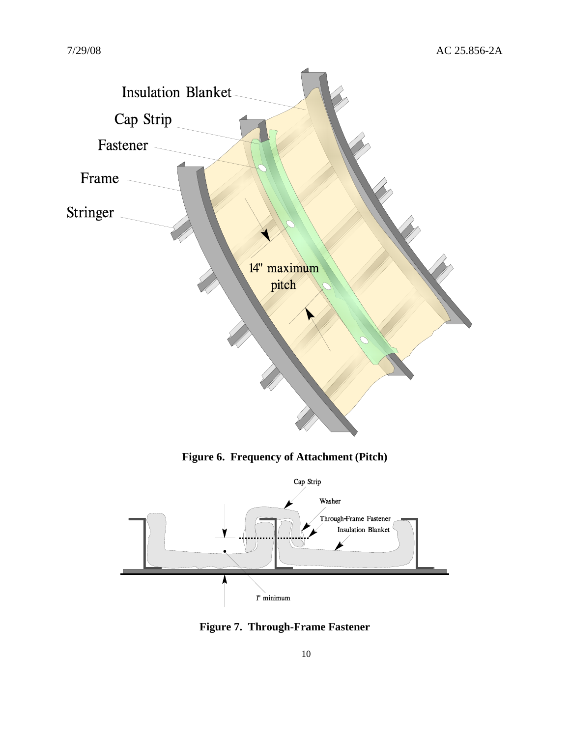

**Figure 6. Frequency of Attachment (Pitch)** 



**Figure 7. Through-Frame Fastener**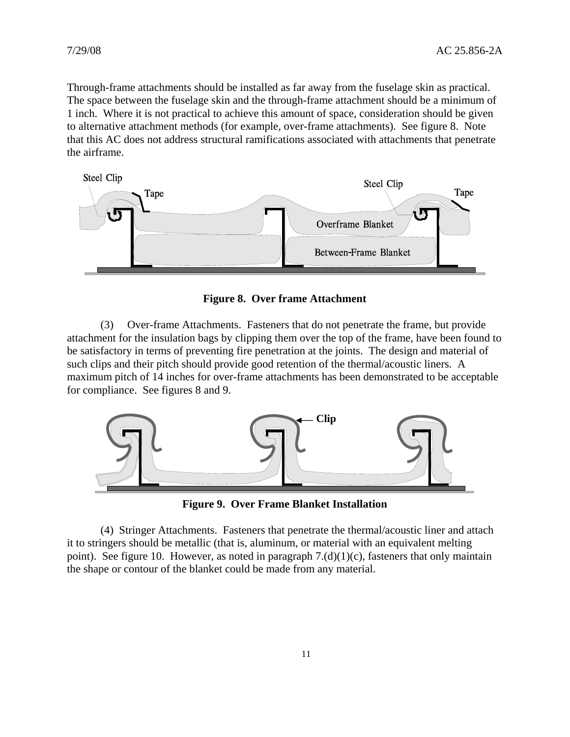Through-frame attachments should be installed as far away from the fuselage skin as practical. The space between the fuselage skin and the through-frame attachment should be a minimum of 1 inch. Where it is not practical to achieve this amount of space, consideration should be given to alternative attachment methods (for example, over-frame attachments). See figure 8. Note that this AC does not address structural ramifications associated with attachments that penetrate the airframe.



**Figure 8. Over frame Attachment**

(3) Over-frame Attachments. Fasteners that do not penetrate the frame, but provide attachment for the insulation bags by clipping them over the top of the frame, have been found to be satisfactory in terms of preventing fire penetration at the joints. The design and material of such clips and their pitch should provide good retention of the thermal/acoustic liners. A maximum pitch of 14 inches for over-frame attachments has been demonstrated to be acceptable for compliance. See figures 8 and 9.



**Figure 9. Over Frame Blanket Installation** 

(4) Stringer Attachments. Fasteners that penetrate the thermal/acoustic liner and attach it to stringers should be metallic (that is, aluminum, or material with an equivalent melting point). See figure 10. However, as noted in paragraph  $7.(d)(1)(c)$ , fasteners that only maintain the shape or contour of the blanket could be made from any material.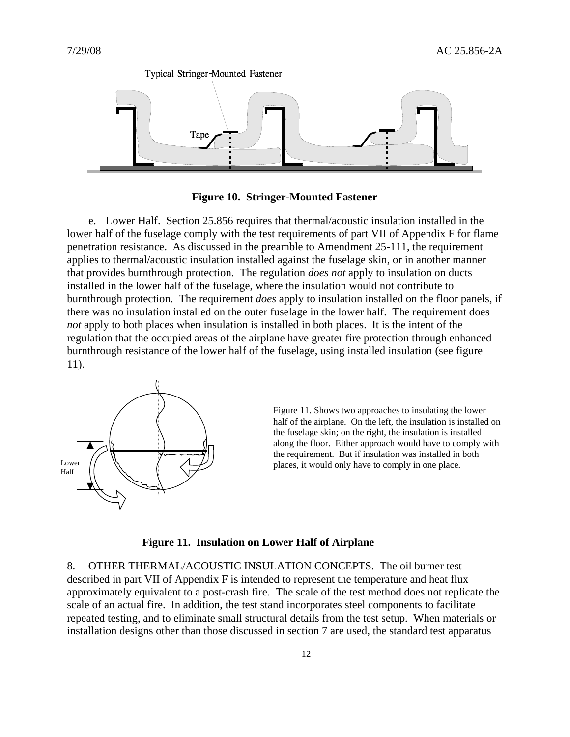

**Figure 10. Stringer-Mounted Fastener** 

 e. Lower Half. Section 25.856 requires that thermal/acoustic insulation installed in the lower half of the fuselage comply with the test requirements of part VII of Appendix F for flame penetration resistance. As discussed in the preamble to Amendment 25-111, the requirement applies to thermal/acoustic insulation installed against the fuselage skin, or in another manner that provides burnthrough protection. The regulation *does not* apply to insulation on ducts installed in the lower half of the fuselage, where the insulation would not contribute to burnthrough protection. The requirement *does* apply to insulation installed on the floor panels, if there was no insulation installed on the outer fuselage in the lower half. The requirement does *not* apply to both places when insulation is installed in both places. It is the intent of the regulation that the occupied areas of the airplane have greater fire protection through enhanced burnthrough resistance of the lower half of the fuselage, using installed insulation (see figure 11).



Figure 11. Shows two approaches to insulating the lower half of the airplane. On the left, the insulation is installed on the fuselage skin; on the right, the insulation is installed along the floor. Either approach would have to comply with the requirement. But if insulation was installed in both Lower  $\| \wedge \$   $\|$   $\langle \vee \rangle$  places, it would only have to comply in one place.

#### **Figure 11. Insulation on Lower Half of Airplane**

8. OTHER THERMAL/ACOUSTIC INSULATION CONCEPTS. The oil burner test described in part VII of Appendix F is intended to represent the temperature and heat flux approximately equivalent to a post-crash fire. The scale of the test method does not replicate the scale of an actual fire. In addition, the test stand incorporates steel components to facilitate repeated testing, and to eliminate small structural details from the test setup. When materials or installation designs other than those discussed in section 7 are used, the standard test apparatus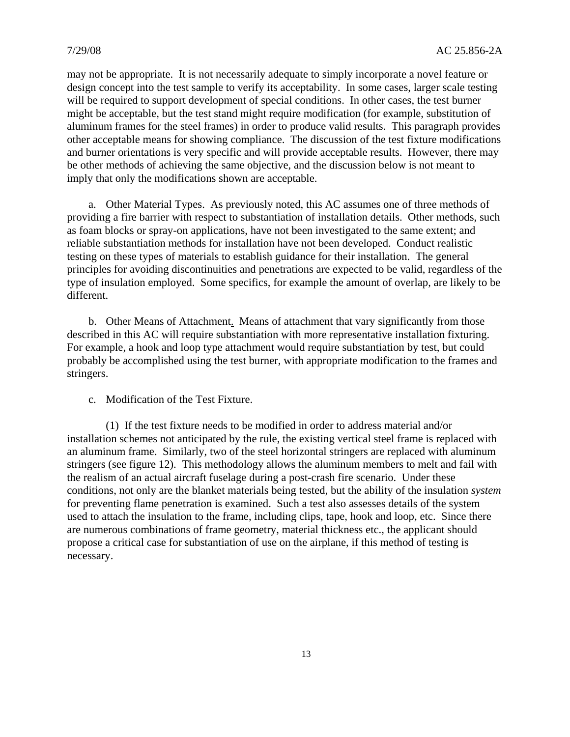may not be appropriate. It is not necessarily adequate to simply incorporate a novel feature or design concept into the test sample to verify its acceptability. In some cases, larger scale testing will be required to support development of special conditions. In other cases, the test burner might be acceptable, but the test stand might require modification (for example, substitution of aluminum frames for the steel frames) in order to produce valid results. This paragraph provides other acceptable means for showing compliance. The discussion of the test fixture modifications and burner orientations is very specific and will provide acceptable results. However, there may be other methods of achieving the same objective, and the discussion below is not meant to imply that only the modifications shown are acceptable.

 a. Other Material Types. As previously noted, this AC assumes one of three methods of providing a fire barrier with respect to substantiation of installation details. Other methods, such as foam blocks or spray-on applications, have not been investigated to the same extent; and reliable substantiation methods for installation have not been developed. Conduct realistic testing on these types of materials to establish guidance for their installation. The general principles for avoiding discontinuities and penetrations are expected to be valid, regardless of the type of insulation employed. Some specifics, for example the amount of overlap, are likely to be different.

 b. Other Means of Attachment. Means of attachment that vary significantly from those described in this AC will require substantiation with more representative installation fixturing. For example, a hook and loop type attachment would require substantiation by test, but could probably be accomplished using the test burner, with appropriate modification to the frames and stringers.

c. Modification of the Test Fixture.

 (1) If the test fixture needs to be modified in order to address material and/or installation schemes not anticipated by the rule, the existing vertical steel frame is replaced with an aluminum frame. Similarly, two of the steel horizontal stringers are replaced with aluminum stringers (see figure 12). This methodology allows the aluminum members to melt and fail with the realism of an actual aircraft fuselage during a post-crash fire scenario. Under these conditions, not only are the blanket materials being tested, but the ability of the insulation *system* for preventing flame penetration is examined. Such a test also assesses details of the system used to attach the insulation to the frame, including clips, tape, hook and loop, etc. Since there are numerous combinations of frame geometry, material thickness etc., the applicant should propose a critical case for substantiation of use on the airplane, if this method of testing is necessary.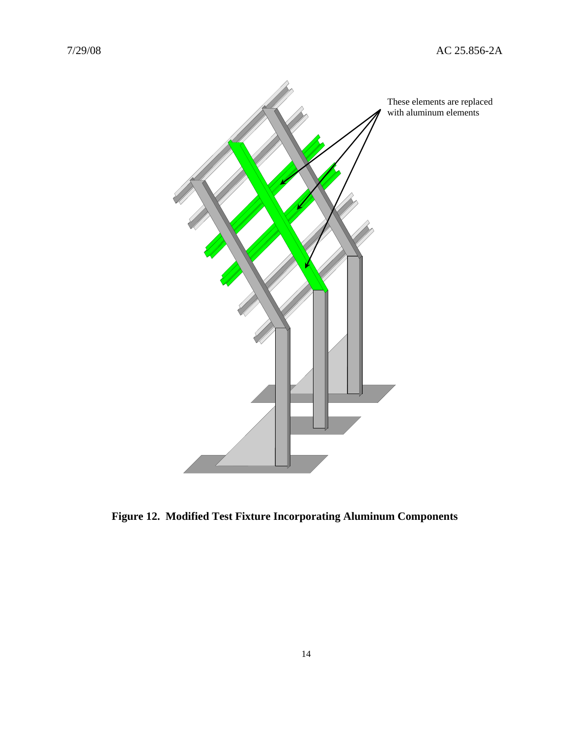

**Figure 12. Modified Test Fixture Incorporating Aluminum Components**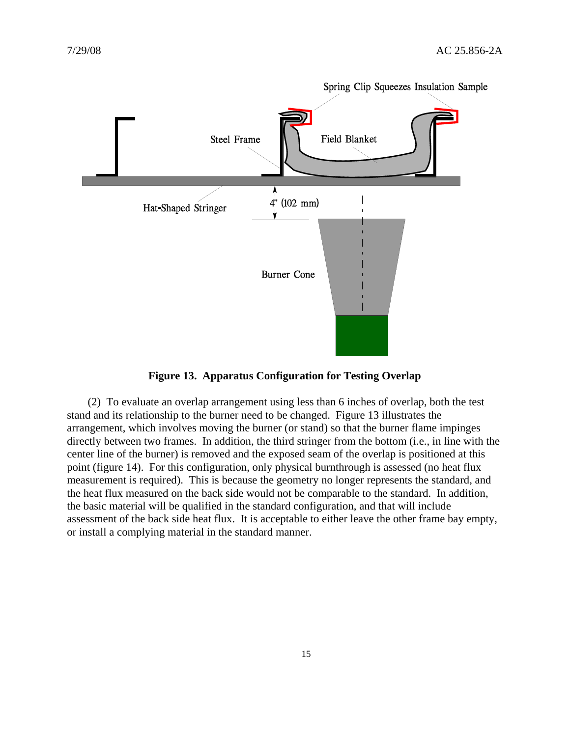

**Figure 13. Apparatus Configuration for Testing Overlap** 

 (2) To evaluate an overlap arrangement using less than 6 inches of overlap, both the test stand and its relationship to the burner need to be changed. Figure 13 illustrates the arrangement, which involves moving the burner (or stand) so that the burner flame impinges directly between two frames. In addition, the third stringer from the bottom (i.e., in line with the center line of the burner) is removed and the exposed seam of the overlap is positioned at this point (figure 14). For this configuration, only physical burnthrough is assessed (no heat flux measurement is required). This is because the geometry no longer represents the standard, and the heat flux measured on the back side would not be comparable to the standard. In addition, the basic material will be qualified in the standard configuration, and that will include assessment of the back side heat flux. It is acceptable to either leave the other frame bay empty, or install a complying material in the standard manner.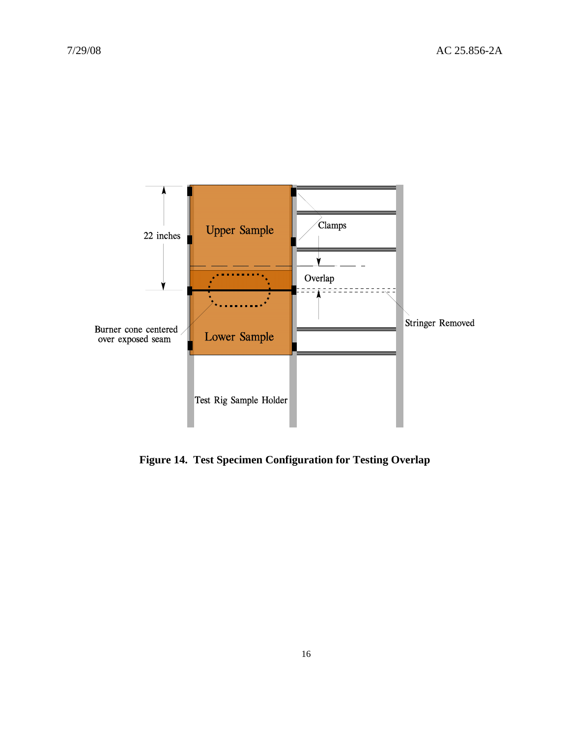

**Figure 14. Test Specimen Configuration for Testing Overlap**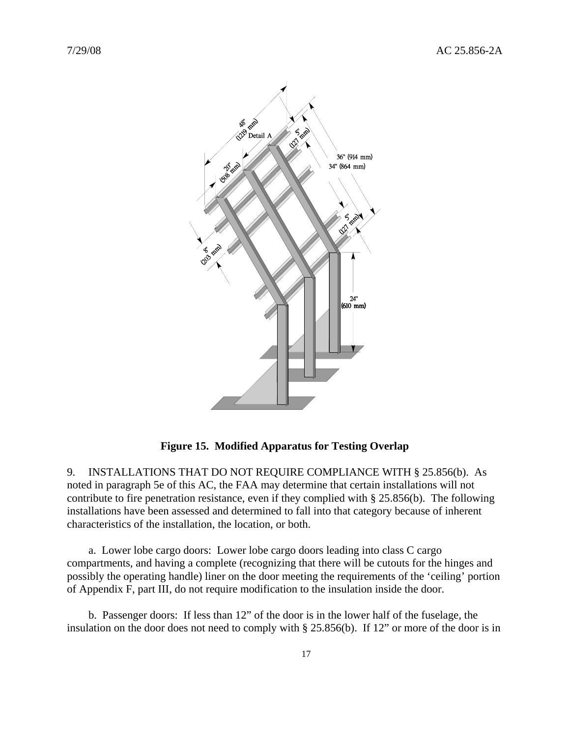

**Figure 15. Modified Apparatus for Testing Overlap**

9. INSTALLATIONS THAT DO NOT REQUIRE COMPLIANCE WITH § 25.856(b). As noted in paragraph 5e of this AC, the FAA may determine that certain installations will not contribute to fire penetration resistance, even if they complied with § 25.856(b). The following installations have been assessed and determined to fall into that category because of inherent characteristics of the installation, the location, or both.

 a. Lower lobe cargo doors: Lower lobe cargo doors leading into class C cargo compartments, and having a complete (recognizing that there will be cutouts for the hinges and possibly the operating handle) liner on the door meeting the requirements of the 'ceiling' portion of Appendix F, part III, do not require modification to the insulation inside the door.

 b. Passenger doors: If less than 12" of the door is in the lower half of the fuselage, the insulation on the door does not need to comply with § 25.856(b). If 12" or more of the door is in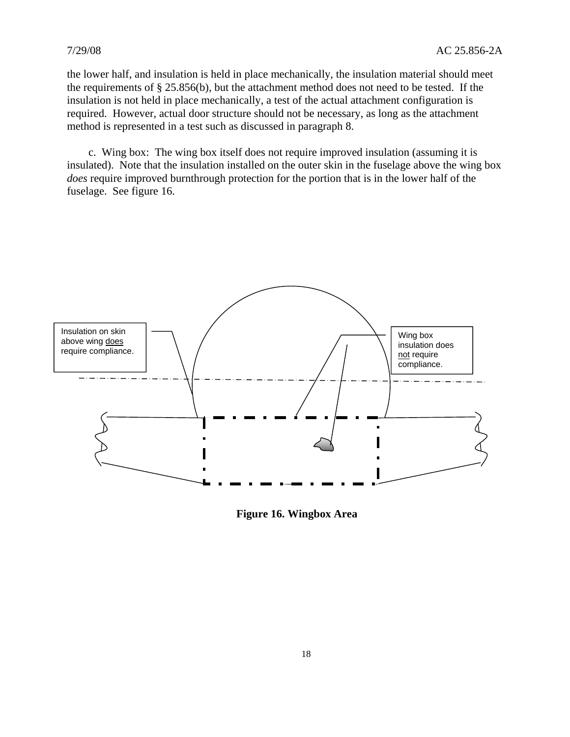the lower half, and insulation is held in place mechanically, the insulation material should meet the requirements of § 25.856(b), but the attachment method does not need to be tested. If the insulation is not held in place mechanically, a test of the actual attachment configuration is required. However, actual door structure should not be necessary, as long as the attachment method is represented in a test such as discussed in paragraph 8.

 c. Wing box: The wing box itself does not require improved insulation (assuming it is insulated). Note that the insulation installed on the outer skin in the fuselage above the wing box *does* require improved burnthrough protection for the portion that is in the lower half of the fuselage. See figure 16.



**Figure 16. Wingbox Area**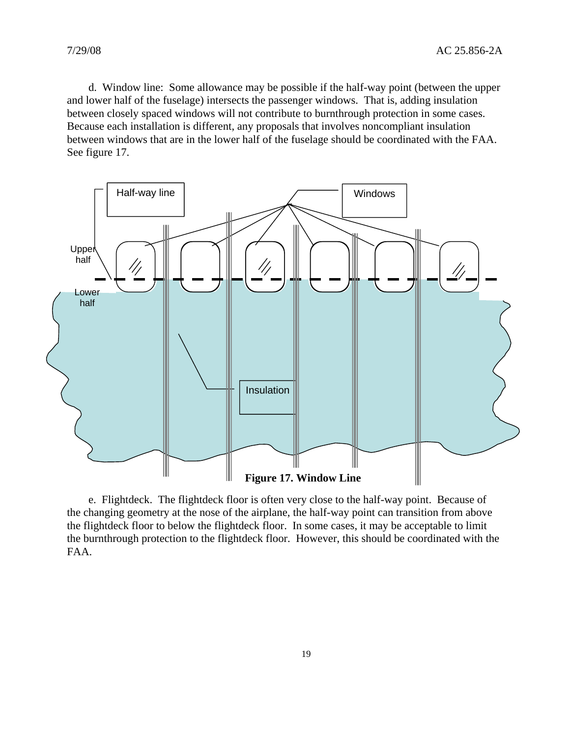d. Window line: Some allowance may be possible if the half-way point (between the upper and lower half of the fuselage) intersects the passenger windows. That is, adding insulation between closely spaced windows will not contribute to burnthrough protection in some cases. Because each installation is different, any proposals that involves noncompliant insulation between windows that are in the lower half of the fuselage should be coordinated with the FAA. See figure 17.



 e. Flightdeck. The flightdeck floor is often very close to the half-way point. Because of the changing geometry at the nose of the airplane, the half-way point can transition from above the flightdeck floor to below the flightdeck floor. In some cases, it may be acceptable to limit the burnthrough protection to the flightdeck floor. However, this should be coordinated with the FAA.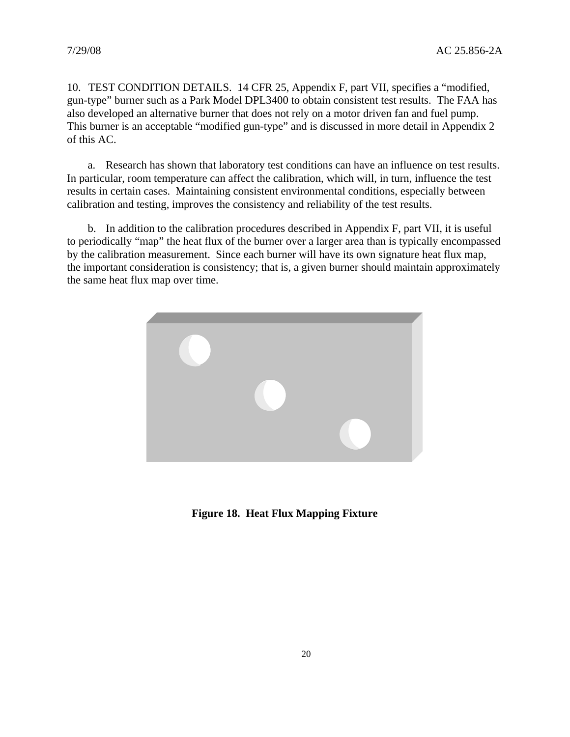10. TEST CONDITION DETAILS. 14 CFR 25, Appendix F, part VII, specifies a "modified, gun-type" burner such as a Park Model DPL3400 to obtain consistent test results. The FAA has also developed an alternative burner that does not rely on a motor driven fan and fuel pump. This burner is an acceptable "modified gun-type" and is discussed in more detail in Appendix 2 of this AC.

 a. Research has shown that laboratory test conditions can have an influence on test results. In particular, room temperature can affect the calibration, which will, in turn, influence the test results in certain cases. Maintaining consistent environmental conditions, especially between calibration and testing, improves the consistency and reliability of the test results.

 b. In addition to the calibration procedures described in Appendix F, part VII, it is useful to periodically "map" the heat flux of the burner over a larger area than is typically encompassed by the calibration measurement. Since each burner will have its own signature heat flux map, the important consideration is consistency; that is, a given burner should maintain approximately the same heat flux map over time.



**Figure 18. Heat Flux Mapping Fixture**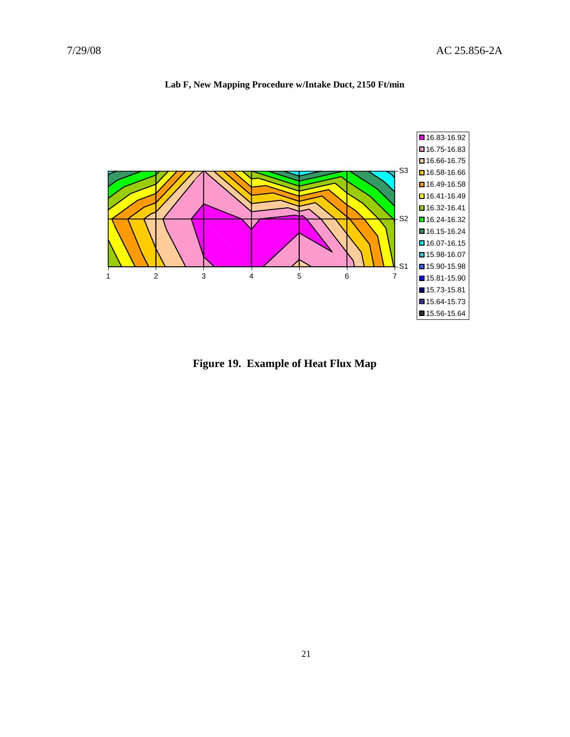

#### **Lab F, New Mapping Procedure w/Intake Duct, 2150 Ft/min**

**Figure 19. Example of Heat Flux Map**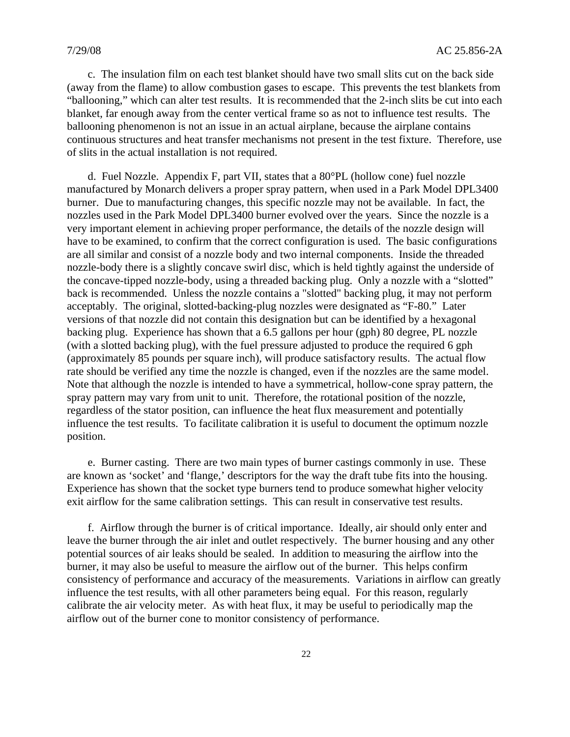c. The insulation film on each test blanket should have two small slits cut on the back side (away from the flame) to allow combustion gases to escape. This prevents the test blankets from "ballooning," which can alter test results. It is recommended that the 2-inch slits be cut into each blanket, far enough away from the center vertical frame so as not to influence test results. The ballooning phenomenon is not an issue in an actual airplane, because the airplane contains continuous structures and heat transfer mechanisms not present in the test fixture. Therefore, use of slits in the actual installation is not required.

 d. Fuel Nozzle. Appendix F, part VII, states that a 80°PL (hollow cone) fuel nozzle manufactured by Monarch delivers a proper spray pattern, when used in a Park Model DPL3400 burner. Due to manufacturing changes, this specific nozzle may not be available. In fact, the nozzles used in the Park Model DPL3400 burner evolved over the years. Since the nozzle is a very important element in achieving proper performance, the details of the nozzle design will have to be examined, to confirm that the correct configuration is used. The basic configurations are all similar and consist of a nozzle body and two internal components. Inside the threaded nozzle-body there is a slightly concave swirl disc, which is held tightly against the underside of the concave-tipped nozzle-body, using a threaded backing plug. Only a nozzle with a "slotted" back is recommended. Unless the nozzle contains a "slotted" backing plug, it may not perform acceptably. The original, slotted-backing-plug nozzles were designated as "F-80." Later versions of that nozzle did not contain this designation but can be identified by a hexagonal backing plug. Experience has shown that a 6.5 gallons per hour (gph) 80 degree, PL nozzle (with a slotted backing plug), with the fuel pressure adjusted to produce the required 6 gph (approximately 85 pounds per square inch), will produce satisfactory results. The actual flow rate should be verified any time the nozzle is changed, even if the nozzles are the same model. Note that although the nozzle is intended to have a symmetrical, hollow-cone spray pattern, the spray pattern may vary from unit to unit. Therefore, the rotational position of the nozzle, regardless of the stator position, can influence the heat flux measurement and potentially influence the test results. To facilitate calibration it is useful to document the optimum nozzle position.

 e. Burner casting. There are two main types of burner castings commonly in use. These are known as 'socket' and 'flange,' descriptors for the way the draft tube fits into the housing. Experience has shown that the socket type burners tend to produce somewhat higher velocity exit airflow for the same calibration settings. This can result in conservative test results.

 f. Airflow through the burner is of critical importance. Ideally, air should only enter and leave the burner through the air inlet and outlet respectively. The burner housing and any other potential sources of air leaks should be sealed. In addition to measuring the airflow into the burner, it may also be useful to measure the airflow out of the burner. This helps confirm consistency of performance and accuracy of the measurements. Variations in airflow can greatly influence the test results, with all other parameters being equal. For this reason, regularly calibrate the air velocity meter. As with heat flux, it may be useful to periodically map the airflow out of the burner cone to monitor consistency of performance.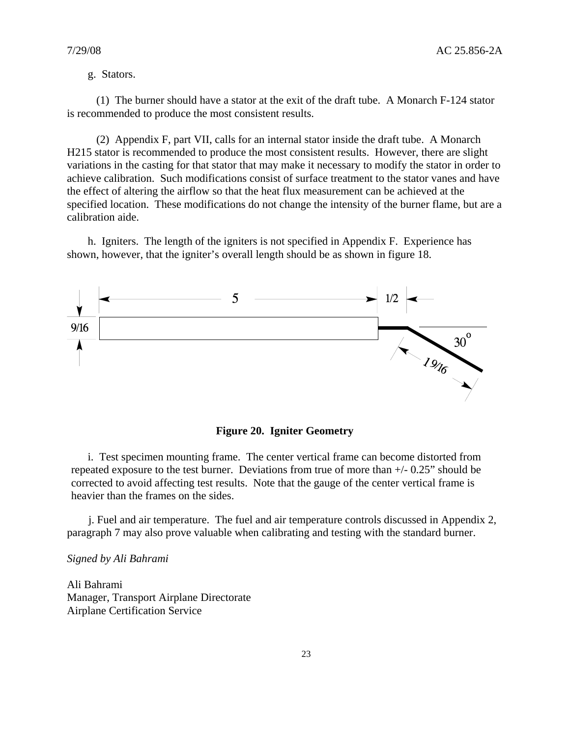#### g. Stators.

 (1) The burner should have a stator at the exit of the draft tube. A Monarch F-124 stator is recommended to produce the most consistent results.

 (2) Appendix F, part VII, calls for an internal stator inside the draft tube. A Monarch H215 stator is recommended to produce the most consistent results. However, there are slight variations in the casting for that stator that may make it necessary to modify the stator in order to achieve calibration. Such modifications consist of surface treatment to the stator vanes and have the effect of altering the airflow so that the heat flux measurement can be achieved at the specified location. These modifications do not change the intensity of the burner flame, but are a calibration aide.

 h. Igniters. The length of the igniters is not specified in Appendix F. Experience has shown, however, that the igniter's overall length should be as shown in figure 18.



**Figure 20. Igniter Geometry** 

 i. Test specimen mounting frame. The center vertical frame can become distorted from repeated exposure to the test burner. Deviations from true of more than +/- 0.25" should be corrected to avoid affecting test results. Note that the gauge of the center vertical frame is heavier than the frames on the sides.

 j. Fuel and air temperature. The fuel and air temperature controls discussed in Appendix 2, paragraph 7 may also prove valuable when calibrating and testing with the standard burner.

#### *Signed by Ali Bahrami*

Ali Bahrami Manager, Transport Airplane Directorate Airplane Certification Service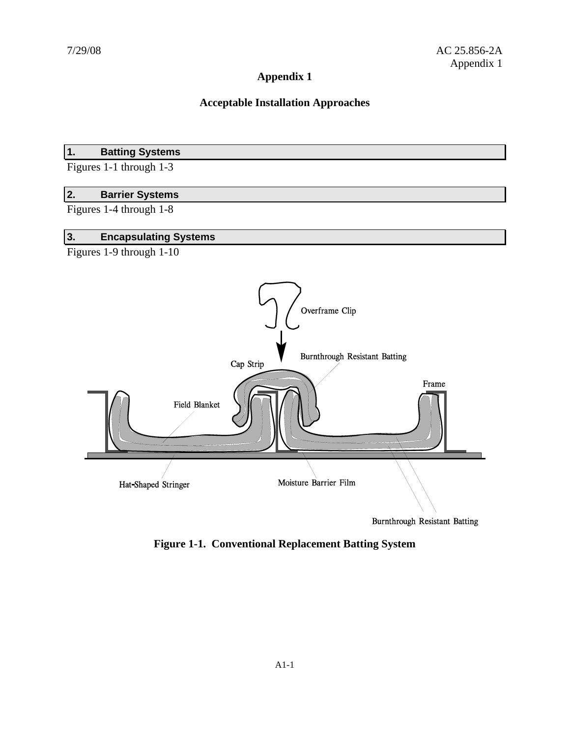# **Appendix 1**

## **Acceptable Installation Approaches**

## **1. Batting Systems**

Figures 1-1 through 1-3

#### **2. Barrier Systems**

Figures 1-4 through 1-8

# **3. Encapsulating Systems**

Figures 1-9 through 1-10



**Burnthrough Resistant Batting** 

**Figure 1-1. Conventional Replacement Batting System**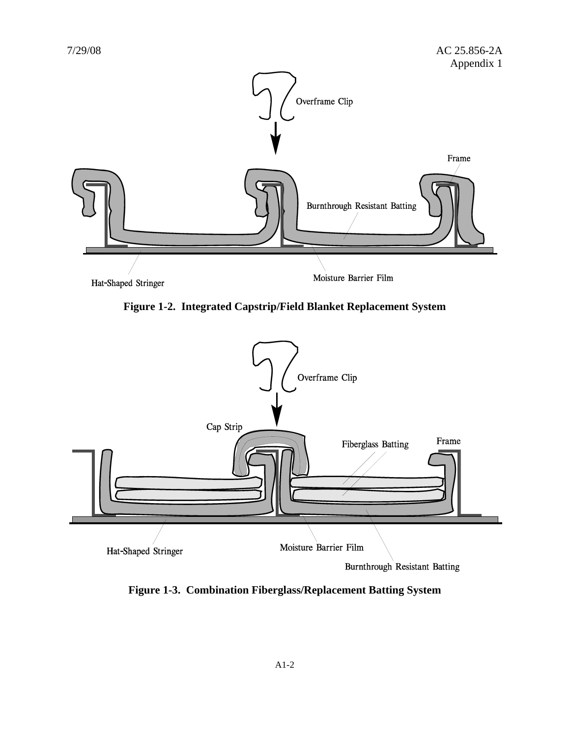

**Figure 1-2. Integrated Capstrip/Field Blanket Replacement System** 



**Figure 1-3. Combination Fiberglass/Replacement Batting System**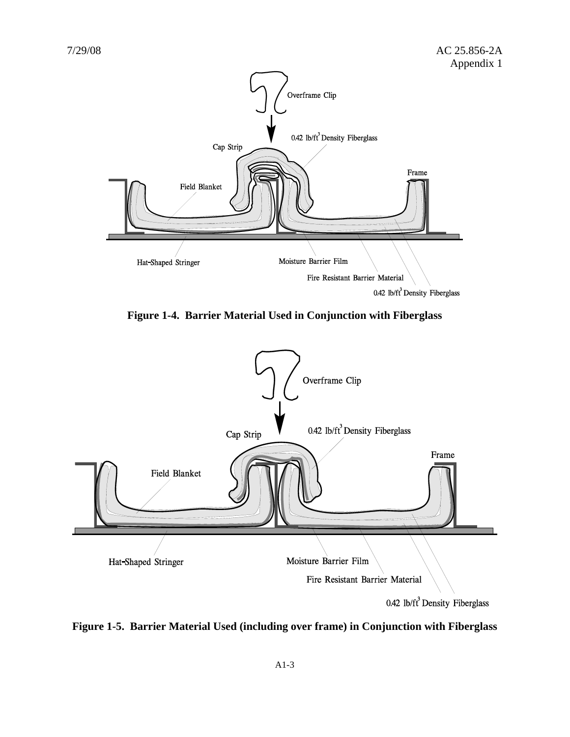

**Figure 1-4. Barrier Material Used in Conjunction with Fiberglass** 



**Figure 1-5. Barrier Material Used (including over frame) in Conjunction with Fiberglass**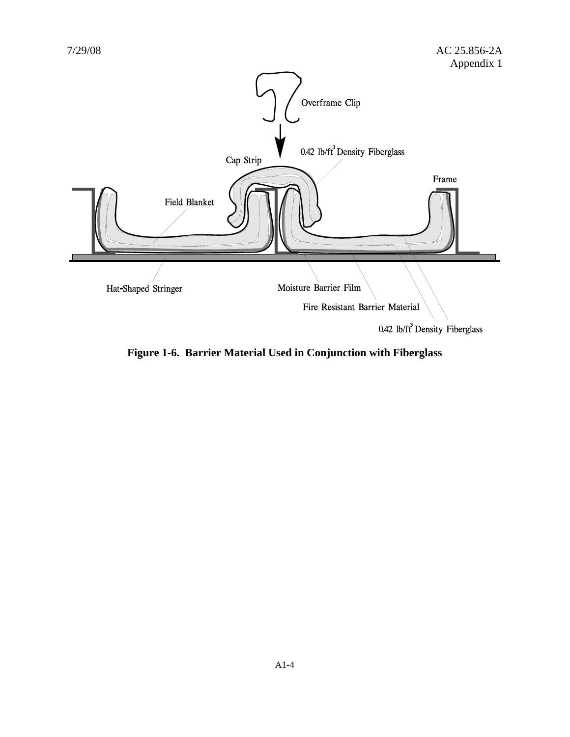

**Figure 1-6. Barrier Material Used in Conjunction with Fiberglass**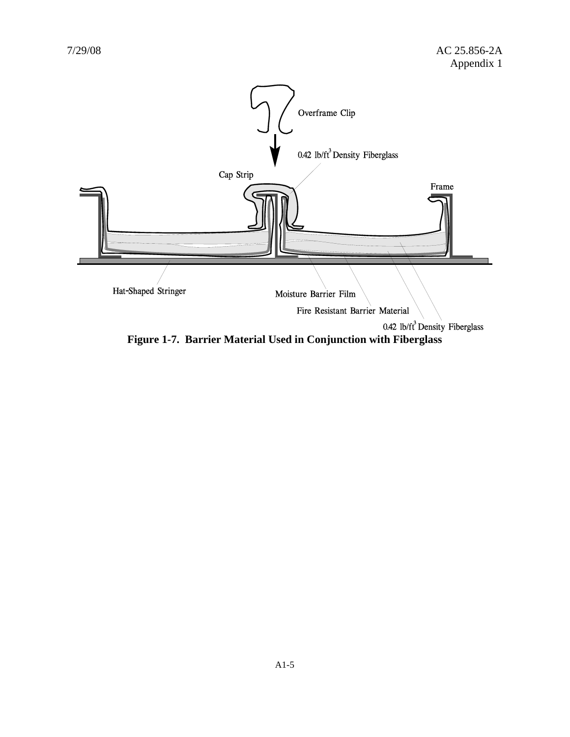

**Figure 1-7. Barrier Material Used in Conjunction with Fiberglass**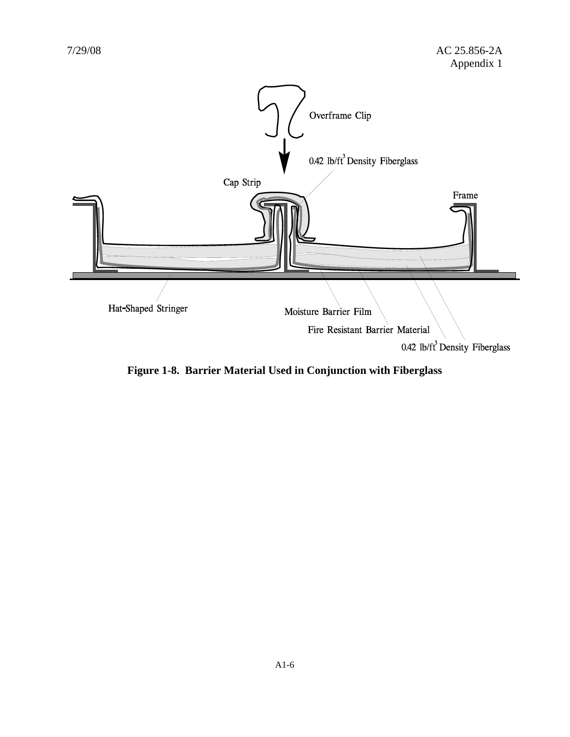

**Figure 1-8. Barrier Material Used in Conjunction with Fiberglass**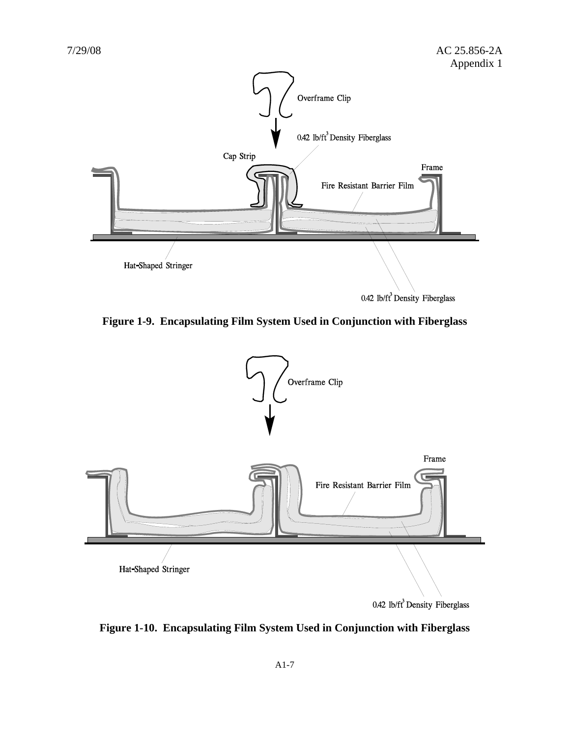

**Figure 1-9. Encapsulating Film System Used in Conjunction with Fiberglass** 



**Figure 1-10. Encapsulating Film System Used in Conjunction with Fiberglass**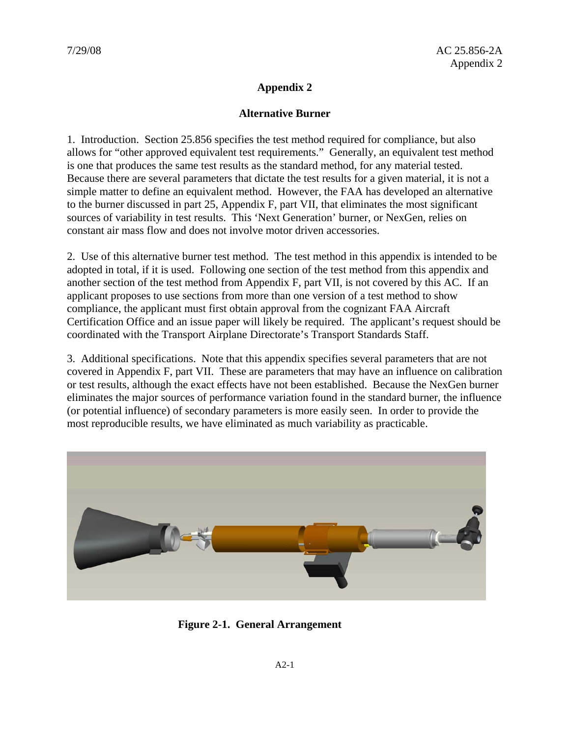# **Appendix 2**

## **Alternative Burner**

1. Introduction. Section 25.856 specifies the test method required for compliance, but also allows for "other approved equivalent test requirements." Generally, an equivalent test method is one that produces the same test results as the standard method, for any material tested. Because there are several parameters that dictate the test results for a given material, it is not a simple matter to define an equivalent method. However, the FAA has developed an alternative to the burner discussed in part 25, Appendix F, part VII, that eliminates the most significant sources of variability in test results. This 'Next Generation' burner, or NexGen, relies on constant air mass flow and does not involve motor driven accessories.

2. Use of this alternative burner test method. The test method in this appendix is intended to be adopted in total, if it is used. Following one section of the test method from this appendix and another section of the test method from Appendix F, part VII, is not covered by this AC. If an applicant proposes to use sections from more than one version of a test method to show compliance, the applicant must first obtain approval from the cognizant FAA Aircraft Certification Office and an issue paper will likely be required. The applicant's request should be coordinated with the Transport Airplane Directorate's Transport Standards Staff.

3. Additional specifications. Note that this appendix specifies several parameters that are not covered in Appendix F, part VII. These are parameters that may have an influence on calibration or test results, although the exact effects have not been established. Because the NexGen burner eliminates the major sources of performance variation found in the standard burner, the influence (or potential influence) of secondary parameters is more easily seen. In order to provide the most reproducible results, we have eliminated as much variability as practicable.



**Figure 2-1. General Arrangement**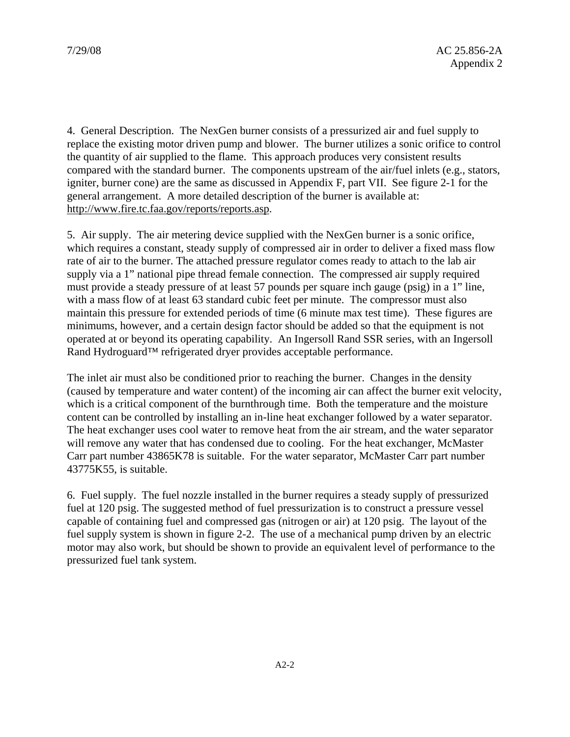4. General Description. The NexGen burner consists of a pressurized air and fuel supply to replace the existing motor driven pump and blower. The burner utilizes a sonic orifice to control the quantity of air supplied to the flame. This approach produces very consistent results compared with the standard burner. The components upstream of the air/fuel inlets (e.g., stators, igniter, burner cone) are the same as discussed in Appendix F, part VII. See figure 2-1 for the general arrangement. A more detailed description of the burner is available at: http://www.fire.tc.faa.gov/reports/reports.asp.

5. Air supply. The air metering device supplied with the NexGen burner is a sonic orifice, which requires a constant, steady supply of compressed air in order to deliver a fixed mass flow rate of air to the burner. The attached pressure regulator comes ready to attach to the lab air supply via a 1" national pipe thread female connection. The compressed air supply required must provide a steady pressure of at least 57 pounds per square inch gauge (psig) in a 1" line, with a mass flow of at least 63 standard cubic feet per minute. The compressor must also maintain this pressure for extended periods of time (6 minute max test time). These figures are minimums, however, and a certain design factor should be added so that the equipment is not operated at or beyond its operating capability. An Ingersoll Rand SSR series, with an Ingersoll Rand Hydroguard™ refrigerated dryer provides acceptable performance.

The inlet air must also be conditioned prior to reaching the burner. Changes in the density (caused by temperature and water content) of the incoming air can affect the burner exit velocity, which is a critical component of the burnthrough time. Both the temperature and the moisture content can be controlled by installing an in-line heat exchanger followed by a water separator. The heat exchanger uses cool water to remove heat from the air stream, and the water separator will remove any water that has condensed due to cooling. For the heat exchanger, McMaster Carr part number 43865K78 is suitable. For the water separator, McMaster Carr part number 43775K55, is suitable.

6. Fuel supply. The fuel nozzle installed in the burner requires a steady supply of pressurized fuel at 120 psig. The suggested method of fuel pressurization is to construct a pressure vessel capable of containing fuel and compressed gas (nitrogen or air) at 120 psig. The layout of the fuel supply system is shown in figure 2-2. The use of a mechanical pump driven by an electric motor may also work, but should be shown to provide an equivalent level of performance to the pressurized fuel tank system.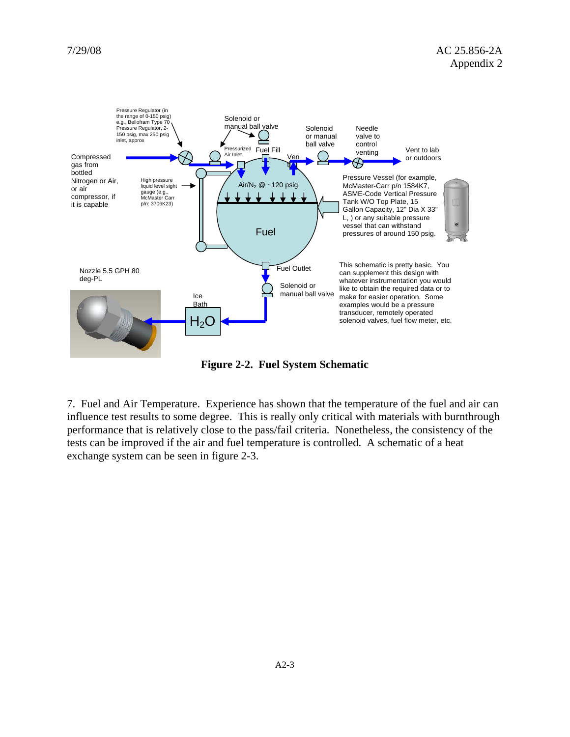

**Figure 2-2. Fuel System Schematic** 

7. Fuel and Air Temperature. Experience has shown that the temperature of the fuel and air can influence test results to some degree. This is really only critical with materials with burnthrough performance that is relatively close to the pass/fail criteria. Nonetheless, the consistency of the tests can be improved if the air and fuel temperature is controlled. A schematic of a heat exchange system can be seen in figure 2-3.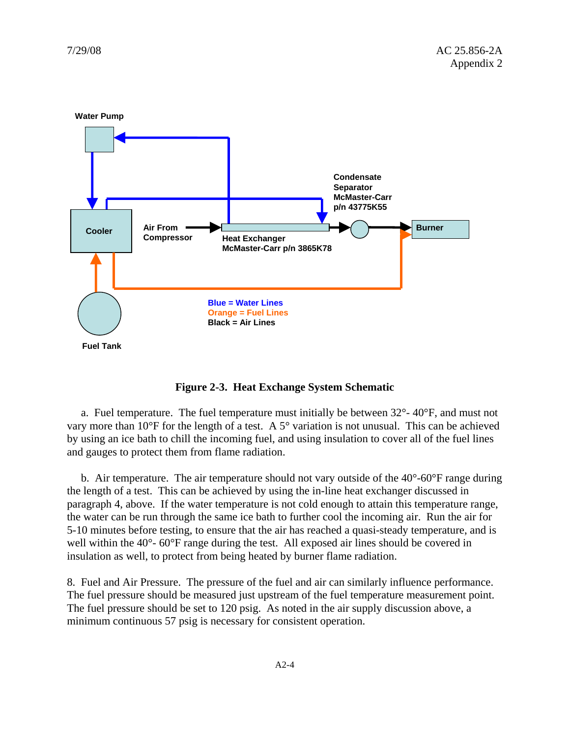

**Figure 2-3. Heat Exchange System Schematic** 

a. Fuel temperature. The fuel temperature must initially be between  $32^{\circ}$ - $40^{\circ}$ F, and must not vary more than 10°F for the length of a test. A 5° variation is not unusual. This can be achieved by using an ice bath to chill the incoming fuel, and using insulation to cover all of the fuel lines and gauges to protect them from flame radiation.

 b. Air temperature. The air temperature should not vary outside of the 40°-60°F range during the length of a test. This can be achieved by using the in-line heat exchanger discussed in paragraph 4, above. If the water temperature is not cold enough to attain this temperature range, the water can be run through the same ice bath to further cool the incoming air. Run the air for 5-10 minutes before testing, to ensure that the air has reached a quasi-steady temperature, and is well within the 40°- 60°F range during the test. All exposed air lines should be covered in insulation as well, to protect from being heated by burner flame radiation.

8. Fuel and Air Pressure. The pressure of the fuel and air can similarly influence performance. The fuel pressure should be measured just upstream of the fuel temperature measurement point. The fuel pressure should be set to 120 psig. As noted in the air supply discussion above, a minimum continuous 57 psig is necessary for consistent operation.